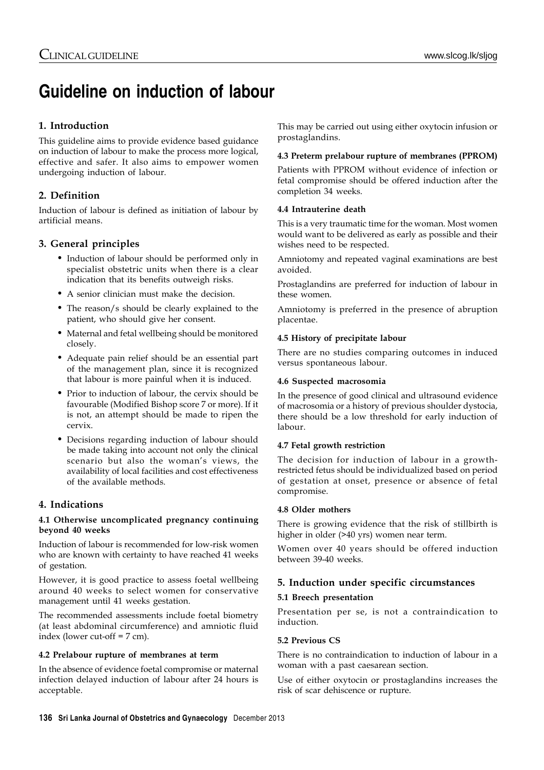# **Guideline on induction of labour**

# **1. Introduction**

This guideline aims to provide evidence based guidance on induction of labour to make the process more logical, effective and safer. It also aims to empower women undergoing induction of labour.

# **2. Definition**

Induction of labour is defined as initiation of labour by artificial means.

# **3. General principles**

- Induction of labour should be performed only in specialist obstetric units when there is a clear indication that its benefits outweigh risks.
- A senior clinician must make the decision.
- The reason/s should be clearly explained to the patient, who should give her consent.
- Maternal and fetal wellbeing should be monitored closely.
- Adequate pain relief should be an essential part of the management plan, since it is recognized that labour is more painful when it is induced.
- Prior to induction of labour, the cervix should be favourable (Modified Bishop score 7 or more). If it is not, an attempt should be made to ripen the cervix.
- Decisions regarding induction of labour should be made taking into account not only the clinical scenario but also the woman's views, the availability of local facilities and cost effectiveness of the available methods.

# **4. Indications**

## **4.1 Otherwise uncomplicated pregnancy continuing beyond 40 weeks**

Induction of labour is recommended for low-risk women who are known with certainty to have reached 41 weeks of gestation.

However, it is good practice to assess foetal wellbeing around 40 weeks to select women for conservative management until 41 weeks gestation.

The recommended assessments include foetal biometry (at least abdominal circumference) and amniotic fluid index (lower cut-off = 7 cm).

### **4.2 Prelabour rupture of membranes at term**

In the absence of evidence foetal compromise or maternal infection delayed induction of labour after 24 hours is acceptable.

This may be carried out using either oxytocin infusion or prostaglandins.

## **4.3 Preterm prelabour rupture of membranes (PPROM)**

Patients with PPROM without evidence of infection or fetal compromise should be offered induction after the completion 34 weeks.

## **4.4 Intrauterine death**

This is a very traumatic time for the woman. Most women would want to be delivered as early as possible and their wishes need to be respected.

Amniotomy and repeated vaginal examinations are best avoided.

Prostaglandins are preferred for induction of labour in these women.

Amniotomy is preferred in the presence of abruption placentae.

## **4.5 History of precipitate labour**

There are no studies comparing outcomes in induced versus spontaneous labour.

## **4.6 Suspected macrosomia**

In the presence of good clinical and ultrasound evidence of macrosomia or a history of previous shoulder dystocia, there should be a low threshold for early induction of labour.

## **4.7 Fetal growth restriction**

The decision for induction of labour in a growthrestricted fetus should be individualized based on period of gestation at onset, presence or absence of fetal compromise.

### **4.8 Older mothers**

There is growing evidence that the risk of stillbirth is higher in older (>40 yrs) women near term.

Women over 40 years should be offered induction between 39-40 weeks.

## **5. Induction under specific circumstances**

### **5.1 Breech presentation**

Presentation per se, is not a contraindication to induction.

### **5.2 Previous CS**

There is no contraindication to induction of labour in a woman with a past caesarean section.

Use of either oxytocin or prostaglandins increases the risk of scar dehiscence or rupture.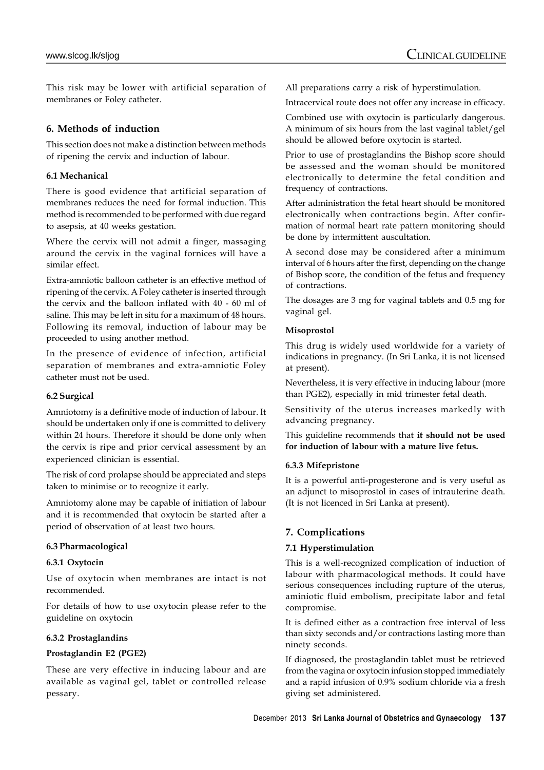This risk may be lower with artificial separation of membranes or Foley catheter.

## **6. Methods of induction**

This section does not make a distinction between methods of ripening the cervix and induction of labour.

# **6.1 Mechanical**

There is good evidence that artificial separation of membranes reduces the need for formal induction. This method is recommended to be performed with due regard to asepsis, at 40 weeks gestation.

Where the cervix will not admit a finger, massaging around the cervix in the vaginal fornices will have a similar effect.

Extra-amniotic balloon catheter is an effective method of ripening of the cervix. A Foley catheter is inserted through the cervix and the balloon inflated with 40 - 60 ml of saline. This may be left in situ for a maximum of 48 hours. Following its removal, induction of labour may be proceeded to using another method.

In the presence of evidence of infection, artificial separation of membranes and extra-amniotic Foley catheter must not be used.

### **6.2 Surgical**

Amniotomy is a definitive mode of induction of labour. It should be undertaken only if one is committed to delivery within 24 hours. Therefore it should be done only when the cervix is ripe and prior cervical assessment by an experienced clinician is essential.

The risk of cord prolapse should be appreciated and steps taken to minimise or to recognize it early.

Amniotomy alone may be capable of initiation of labour and it is recommended that oxytocin be started after a period of observation of at least two hours.

### **6.3 Pharmacological**

### **6.3.1 Oxytocin**

Use of oxytocin when membranes are intact is not recommended.

For details of how to use oxytocin please refer to the guideline on oxytocin

### **6.3.2 Prostaglandins**

### **Prostaglandin E2 (PGE2)**

These are very effective in inducing labour and are available as vaginal gel, tablet or controlled release pessary.

All preparations carry a risk of hyperstimulation.

Intracervical route does not offer any increase in efficacy.

Combined use with oxytocin is particularly dangerous. A minimum of six hours from the last vaginal tablet/gel should be allowed before oxytocin is started.

Prior to use of prostaglandins the Bishop score should be assessed and the woman should be monitored electronically to determine the fetal condition and frequency of contractions.

After administration the fetal heart should be monitored electronically when contractions begin. After confirmation of normal heart rate pattern monitoring should be done by intermittent auscultation.

A second dose may be considered after a minimum interval of 6 hours after the first, depending on the change of Bishop score, the condition of the fetus and frequency of contractions.

The dosages are 3 mg for vaginal tablets and 0.5 mg for vaginal gel.

### **Misoprostol**

This drug is widely used worldwide for a variety of indications in pregnancy. (In Sri Lanka, it is not licensed at present).

Nevertheless, it is very effective in inducing labour (more than PGE2), especially in mid trimester fetal death.

Sensitivity of the uterus increases markedly with advancing pregnancy.

This guideline recommends that **it should not be used for induction of labour with a mature live fetus.**

## **6.3.3 Mifepristone**

It is a powerful anti-progesterone and is very useful as an adjunct to misoprostol in cases of intrauterine death. (It is not licenced in Sri Lanka at present).

## **7. Complications**

## **7.1 Hyperstimulation**

This is a well-recognized complication of induction of labour with pharmacological methods. It could have serious consequences including rupture of the uterus, aminiotic fluid embolism, precipitate labor and fetal compromise.

It is defined either as a contraction free interval of less than sixty seconds and/or contractions lasting more than ninety seconds.

If diagnosed, the prostaglandin tablet must be retrieved from the vagina or oxytocin infusion stopped immediately and a rapid infusion of 0.9% sodium chloride via a fresh giving set administered.